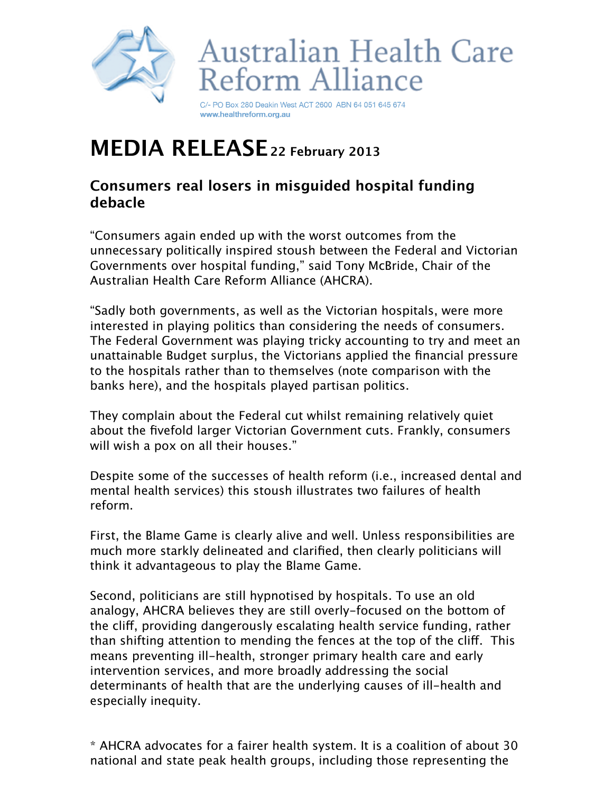



C/- PO Box 280 Deakin West ACT 2600 ABN 64 051 645 674 www.healthreform.org.au

## **MEDIA RELEASE 22 February 2013**

## **Consumers real losers in misguided hospital funding debacle**

"Consumers again ended up with the worst outcomes from the unnecessary politically inspired stoush between the Federal and Victorian Governments over hospital funding," said Tony McBride, Chair of the Australian Health Care Reform Alliance (AHCRA).

"Sadly both governments, as well as the Victorian hospitals, were more interested in playing politics than considering the needs of consumers. The Federal Government was playing tricky accounting to try and meet an unattainable Budget surplus, the Victorians applied the financial pressure to the hospitals rather than to themselves (note comparison with the banks here), and the hospitals played partisan politics.

They complain about the Federal cut whilst remaining relatively quiet about the fivefold larger Victorian Government cuts. Frankly, consumers will wish a pox on all their houses."

Despite some of the successes of health reform (i.e., increased dental and mental health services) this stoush illustrates two failures of health reform.

First, the Blame Game is clearly alive and well. Unless responsibilities are much more starkly delineated and clarified, then clearly politicians will think it advantageous to play the Blame Game.

Second, politicians are still hypnotised by hospitals. To use an old analogy, AHCRA believes they are still overly-focused on the bottom of the clif, providing dangerously escalating health service funding, rather than shifting attention to mending the fences at the top of the clif. This means preventing ill-health, stronger primary health care and early intervention services, and more broadly addressing the social determinants of health that are the underlying causes of ill-health and especially inequity.

\* AHCRA advocates for a fairer health system. It is a coalition of about 30 national and state peak health groups, including those representing the